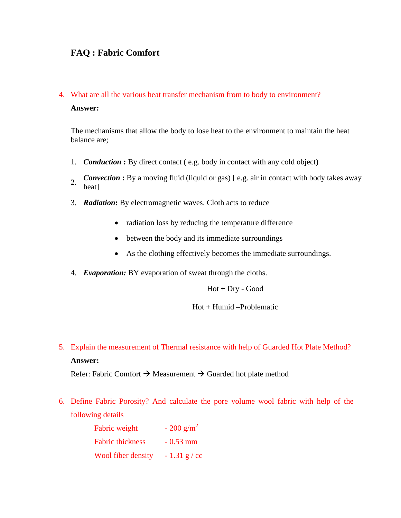## **FAQ : Fabric Comfort**

# 4. What are all the various heat transfer mechanism from to body to environment? **Answer:**

The mechanisms that allow the body to lose heat to the environment to maintain the heat balance are;

- 1. *Conduction* **:** By direct contact ( e.g. body in contact with any cold object)
- **Convection :** By a moving fluid (liquid or gas) [e.g. air in contact with body takes away heat]
- 3. *Radiation***:** By electromagnetic waves. Cloth acts to reduce
	- radiation loss by reducing the temperature difference
	- between the body and its immediate surroundings
	- As the clothing effectively becomes the immediate surroundings.
- 4. *Evaporation:* BY evaporation of sweat through the cloths.

Hot + Dry - Good

## Hot + Humid –Problematic

5. Explain the measurement of Thermal resistance with help of Guarded Hot Plate Method? **Answer:** 

Refer: Fabric Comfort  $\rightarrow$  Measurement  $\rightarrow$  Guarded hot plate method

6. Define Fabric Porosity? And calculate the pore volume wool fabric with help of the following details

| Fabric weight           | $-200$ g/m <sup>2</sup> |
|-------------------------|-------------------------|
| <b>Fabric thickness</b> | $-0.53$ mm              |
| Wool fiber density      | $-1.31$ g / cc          |